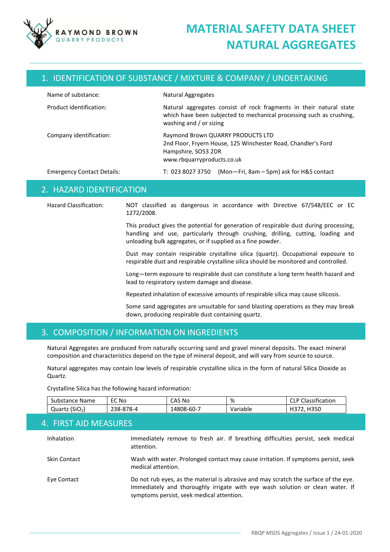

### 1. IDENTIFICATION OF SUBSTANCE / MIXTURE & COMPANY / UNDERTAKING

| Name of substance:                | Natural Aggregates                                                                                                                                                            |
|-----------------------------------|-------------------------------------------------------------------------------------------------------------------------------------------------------------------------------|
| Product identification:           | Natural aggregates consist of rock fragments in their natural state<br>which have been subjected to mechanical processing such as crushing,<br>washing and $\prime$ or sizing |
| Company identification:           | Raymond Brown QUARRY PRODUCTS LTD<br>2nd Floor, Fryern House, 125 Winchester Road, Chandler's Ford<br>Hampshire, SO53 2DR<br>www.rbquarryproducts.co.uk                       |
| <b>Emergency Contact Details:</b> | $(Mon-Fri, 8am - 5pm)$ ask for H&S contact<br>T: 023 8027 3750                                                                                                                |

### 2. HAZARD IDENTIFICATION

Hazard Classification: NOT classified as dangerous in accordance with Directive 67/548/EEC or EC 1272/2008.

> This product gives the potential for generation of respirable dust during processing, handling and use, particularly through crushing, drilling, cutting, loading and unloading bulk aggregates, or if supplied as a fine powder.

> Dust may contain respirable crystalline silica (quartz). Occupational exposure to respirable dust and respirable crystalline silica should be monitored and controlled.

> Long—term exposure to respirable dust can constitute a long term health hazard and lead to respiratory system damage and disease.

Repeated inhalation of excessive amounts of respirable silica may cause silicosis.

Some sand aggregates are unsuitable for sand blasting operations as they may break down, producing respirable dust containing quartz.

### 3. COMPOSITION / INFORMATION ON INGREDIENTS

Natural Aggregates are produced from naturally occurring sand and gravel mineral deposits. The exact mineral composition and characteristics depend on the type of mineral deposit, and will vary from source to source.

Natural aggregates may contain low levels of respirable crystalline silica in the form of natural Silica Dioxide as Quartz.

Crystalline Silica has the following hazard information:

| <b>Name</b><br>Substance | <b>EC No</b> | CAS No     | %        | $\cdot$ $\cdot$<br>. .<br>Classification<br>◡└╹ |
|--------------------------|--------------|------------|----------|-------------------------------------------------|
| (SiO,<br>Quartz          | 238-878-4    | .4808-60-7 | Variable | H350<br>. . <i>. .</i>                          |

#### 4. FIRST AID MEASURES

| Inhalation          | Immediately remove to fresh air. If breathing difficulties persist, seek medical<br>attention.                                                                                                                     |
|---------------------|--------------------------------------------------------------------------------------------------------------------------------------------------------------------------------------------------------------------|
| <b>Skin Contact</b> | Wash with water. Prolonged contact may cause irritation. If symptoms persist, seek<br>medical attention.                                                                                                           |
| Eye Contact         | Do not rub eyes, as the material is abrasive and may scratch the surface of the eye.<br>Immediately and thoroughly irrigate with eye wash solution or clean water. If<br>symptoms persist, seek medical attention. |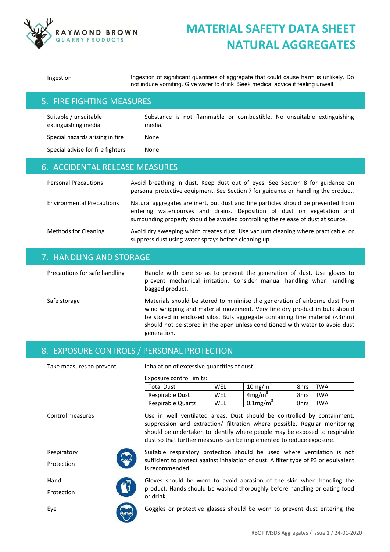

Ingestion Ingestion of significant quantities of aggregate that could cause harm is unlikely. Do not induce vomiting. Give water to drink. Seek medical advice if feeling unwell.

### 5. FIRE FIGHTING MEASURES

Suitable / unsuitable extinguishing media Substance is not flammable or combustible. No unsuitable extinguishing media.

Special hazards arising in fire Mone Special advise for fire fighters Mone

# 6. ACCIDENTAL RELEASE MEASURES

| <b>Personal Precautions</b>      | Avoid breathing in dust. Keep dust out of eyes. See Section 8 for guidance on<br>personal protective equipment. See Section 7 for guidance on handling the product.                                                                               |
|----------------------------------|---------------------------------------------------------------------------------------------------------------------------------------------------------------------------------------------------------------------------------------------------|
| <b>Environmental Precautions</b> | Natural aggregates are inert, but dust and fine particles should be prevented from<br>entering watercourses and drains. Deposition of dust on vegetation and<br>surrounding property should be avoided controlling the release of dust at source. |
| <b>Methods for Cleaning</b>      | Avoid dry sweeping which creates dust. Use vacuum cleaning where practicable, or<br>suppress dust using water sprays before cleaning up.                                                                                                          |

### 7. HANDLING AND STORAGE

Precautions for safe handling Handle with care so as to prevent the generation of dust. Use gloves to prevent mechanical irritation. Consider manual handling when handling bagged product.

Safe storage The Materials should be stored to minimise the generation of airborne dust from wind whipping and material movement. Very fine dry product in bulk should be stored in enclosed silos. Bulk aggregate containing fine material (<3mm) should not be stored in the open unless conditioned with water to avoid dust generation.

## 8. EXPOSURE CONTROLS / PERSONAL PROTECTION

Take measures to prevent Inhalation of excessive quantities of dust.

Exposure control limits:

| Exposure control limits: |     |                         |      |            |
|--------------------------|-----|-------------------------|------|------------|
| <b>Total Dust</b>        | WEL | $10$ mg/m <sup>3</sup>  | 8hrs | <b>TWA</b> |
| Respirable Dust          | WEL | $4 \text{mg/m}^3$       | 8hrs | <b>TWA</b> |
| Respirable Quartz        | WEL | $0.1$ mg/m <sup>3</sup> | 8hrs | <b>TWA</b> |

Control measures Use in well ventilated areas. Dust should be controlled by containment, suppression and extraction/ filtration where possible. Regular monitoring should be undertaken to identify where people may be exposed to respirable dust so that further measures can be implemented to reduce exposure.



Suitable respiratory protection should be used where ventilation is not sufficient to protect against inhalation of dust. A filter type of P3 or equivalent is recommended.



Gloves should be worn to avoid abrasion of the skin when handling the product. Hands should be washed thoroughly before handling or eating food or drink.

Eye Goggles or protective glasses should be worn to prevent dust entering the





Protection

Hand

Protection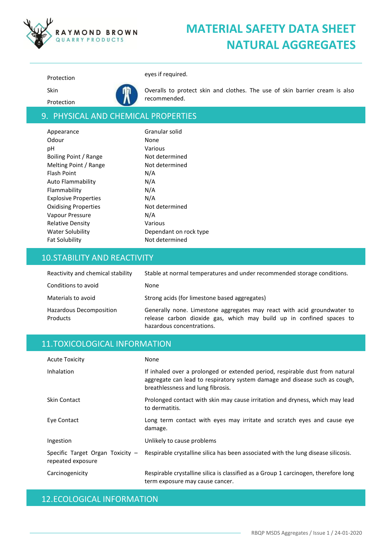

Protection eyes if required.

Protection

Skin



Overalls to protect skin and clothes. The use of skin barrier cream is also recommended.

## 9. PHYSICAL AND CHEMICAL PROPERTIES

| Appearance                  | Granular solid         |
|-----------------------------|------------------------|
| Odour                       | None                   |
| рH                          | Various                |
| Boiling Point / Range       | Not determined         |
| Melting Point / Range       | Not determined         |
| Flash Point                 | N/A                    |
| Auto Flammability           | N/A                    |
| Flammability                | N/A                    |
| <b>Explosive Properties</b> | N/A                    |
| <b>Oxidising Properties</b> | Not determined         |
| Vapour Pressure             | N/A                    |
| <b>Relative Density</b>     | Various                |
| <b>Water Solubility</b>     | Dependant on rock type |
| <b>Fat Solubility</b>       | Not determined         |
|                             |                        |

## 10.STABILITY AND REACTIVITY

| Reactivity and chemical stability   | Stable at normal temperatures and under recommended storage conditions.                                                                                                      |
|-------------------------------------|------------------------------------------------------------------------------------------------------------------------------------------------------------------------------|
| Conditions to avoid                 | None                                                                                                                                                                         |
| Materials to avoid                  | Strong acids (for limestone based aggregates)                                                                                                                                |
| Hazardous Decomposition<br>Products | Generally none. Limestone aggregates may react with acid groundwater to<br>release carbon dioxide gas, which may build up in confined spaces to<br>hazardous concentrations. |

## 11.TOXICOLOGICAL INFORMATION

| <b>Acute Toxicity</b>                                   | None                                                                                                                                                                                            |
|---------------------------------------------------------|-------------------------------------------------------------------------------------------------------------------------------------------------------------------------------------------------|
| Inhalation                                              | If inhaled over a prolonged or extended period, respirable dust from natural<br>aggregate can lead to respiratory system damage and disease such as cough,<br>breathlessness and lung fibrosis. |
| Skin Contact                                            | Prolonged contact with skin may cause irritation and dryness, which may lead<br>to dermatitis.                                                                                                  |
| Eye Contact                                             | Long term contact with eyes may irritate and scratch eyes and cause eye<br>damage.                                                                                                              |
| Ingestion                                               | Unlikely to cause problems                                                                                                                                                                      |
| Specific Target Organ Toxicity $-$<br>repeated exposure | Respirable crystalline silica has been associated with the lung disease silicosis.                                                                                                              |
| Carcinogenicity                                         | Respirable crystalline silica is classified as a Group 1 carcinogen, therefore long<br>term exposure may cause cancer.                                                                          |

## 12.ECOLOGICAL INFORMATION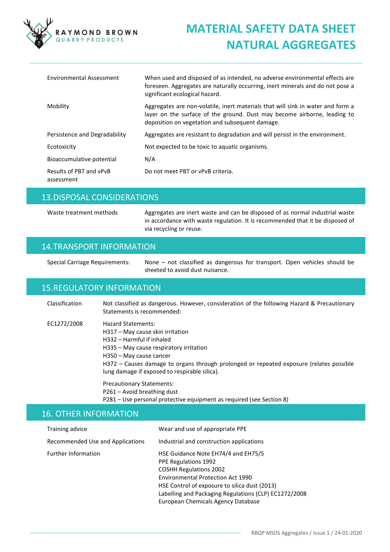

| Environmental Assessment              | When used and disposed of as intended, no adverse environmental effects are<br>foreseen. Aggregates are naturally occurring, inert minerals and do not pose a<br>significant ecological hazard.                |
|---------------------------------------|----------------------------------------------------------------------------------------------------------------------------------------------------------------------------------------------------------------|
| Mobility                              | Aggregates are non-volatile, inert materials that will sink in water and form a<br>layer on the surface of the ground. Dust may become airborne, leading to<br>deposition on vegetation and subsequent damage. |
| Persistence and Degradability         | Aggregates are resistant to degradation and will persist in the environment.                                                                                                                                   |
| Ecotoxicity                           | Not expected to be toxic to aquatic organisms.                                                                                                                                                                 |
| Bioaccumulative potential             | N/A                                                                                                                                                                                                            |
| Results of PBT and vPvB<br>assessment | Do not meet PBT or vPvB criteria.                                                                                                                                                                              |

## 13.DISPOSAL CONSIDERATIONS

Waste treatment methods Aggregates are inert waste and can be disposed of as normal industrial waste in accordance with waste regulation. It is recommended that it be disposed of via recycling or reuse.

### 14.TRANSPORT INFORMATION

Special Carriage Requirements: None – not classified as dangerous for transport. Open vehicles should be sheeted to avoid dust nuisance.

## 15.REGULATORY INFORMATION

| Classification | Not classified as dangerous. However, consideration of the following Hazard & Precautionary<br>Statements is recommended:                                                                                                                                                                             |
|----------------|-------------------------------------------------------------------------------------------------------------------------------------------------------------------------------------------------------------------------------------------------------------------------------------------------------|
| EC1272/2008    | Hazard Statements:<br>H317 - May cause skin irritation<br>H332 - Harmful if inhaled<br>H335 – May cause respiratory irritation<br>H350 - May cause cancer<br>H372 - Causes damage to organs through prolonged or repeated exposure (relates possible<br>lung damage if exposed to respirable silica). |
|                | <b>Precautionary Statements:</b><br>P261 - Avoid breathing dust<br>P281 - Use personal protective equipment as required (see Section 8)                                                                                                                                                               |

# 16. OTHER INFORMATION

| Training advice                  | Wear and use of appropriate PPE                                                                                                                                                                                                                                                                 |
|----------------------------------|-------------------------------------------------------------------------------------------------------------------------------------------------------------------------------------------------------------------------------------------------------------------------------------------------|
| Recommended Use and Applications | Industrial and construction applications                                                                                                                                                                                                                                                        |
| <b>Further Information</b>       | HSE Guidance Note EH74/4 and EH75/5<br><b>PPE Regulations 1992</b><br><b>COSHH Regulations 2002</b><br><b>Environmental Protection Act 1990</b><br>HSE Control of exposure to silica dust (2013)<br>Labelling and Packaging Regulations (CLP) EC1272/2008<br>European Chemicals Agency Database |